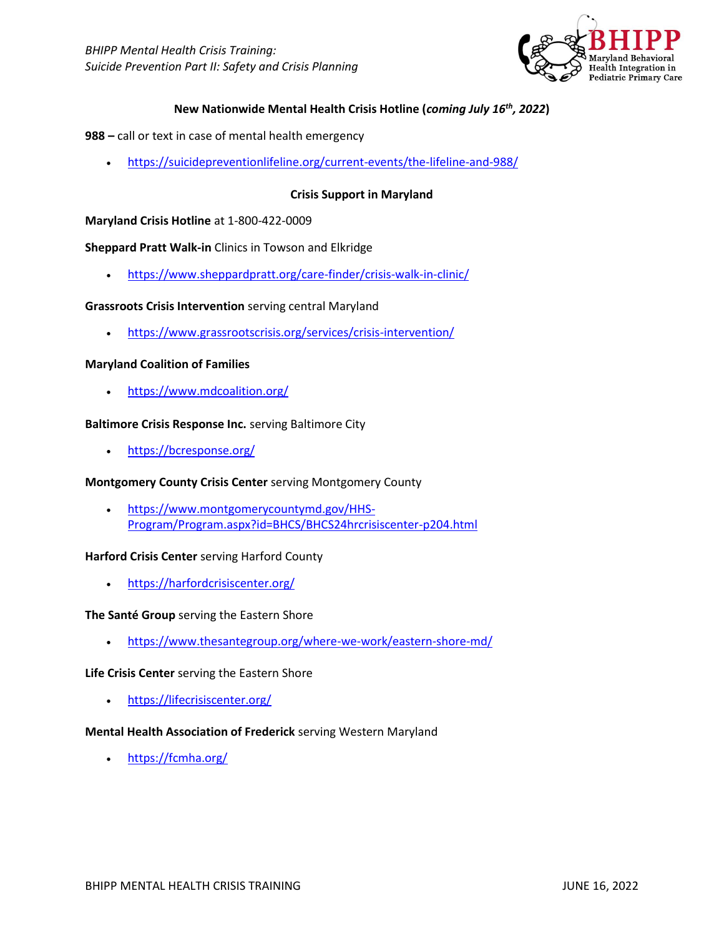

# **New Nationwide Mental Health Crisis Hotline (***coming July 16th, 2022***)**

- **988 –** call or text in case of mental health emergency
	- <https://suicidepreventionlifeline.org/current-events/the-lifeline-and-988/>

## **Crisis Support in Maryland**

### **Maryland Crisis Hotline** at 1-800-422-0009

### **Sheppard Pratt Walk-in** Clinics in Towson and Elkridge

• <https://www.sheppardpratt.org/care-finder/crisis-walk-in-clinic/>

### **Grassroots Crisis Intervention** serving central Maryland

• <https://www.grassrootscrisis.org/services/crisis-intervention/>

### **Maryland Coalition of Families**

• <https://www.mdcoalition.org/>

#### **Baltimore Crisis Response Inc.** serving Baltimore City

• <https://bcresponse.org/>

### **Montgomery County Crisis Center** serving Montgomery County

• [https://www.montgomerycountymd.gov/HHS-](https://www.montgomerycountymd.gov/HHS-Program/Program.aspx?id=BHCS/BHCS24hrcrisiscenter-p204.html)[Program/Program.aspx?id=BHCS/BHCS24hrcrisiscenter-p204.html](https://www.montgomerycountymd.gov/HHS-Program/Program.aspx?id=BHCS/BHCS24hrcrisiscenter-p204.html)

### **Harford Crisis Center** serving Harford County

• <https://harfordcrisiscenter.org/>

### **The Santé Group** serving the Eastern Shore

• <https://www.thesantegroup.org/where-we-work/eastern-shore-md/>

### **Life Crisis Center** serving the Eastern Shore

• <https://lifecrisiscenter.org/>

### **Mental Health Association of Frederick** serving Western Maryland

• <https://fcmha.org/>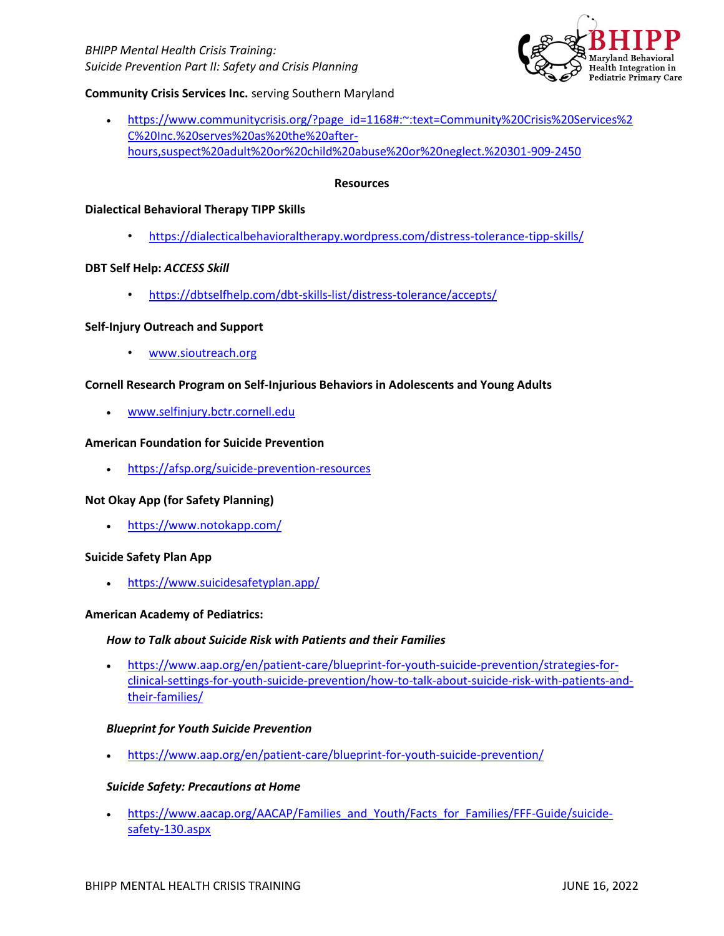*BHIPP Mental Health Crisis Training: Suicide Prevention Part II: Safety and Crisis Planning*



## **Community Crisis Services Inc.** serving Southern Maryland

• [https://www.communitycrisis.org/?page\\_id=1168#:~:text=Community%20Crisis%20Services%2](https://www.communitycrisis.org/?page_id=1168#:~:text=Community%20Crisis%20Services%2C%20Inc.%20serves%20as%20the%20after-hours,suspect%20adult%20or%20child%20abuse%20or%20neglect.%20301-909-2450) [C%20Inc.%20serves%20as%20the%20after](https://www.communitycrisis.org/?page_id=1168#:~:text=Community%20Crisis%20Services%2C%20Inc.%20serves%20as%20the%20after-hours,suspect%20adult%20or%20child%20abuse%20or%20neglect.%20301-909-2450)[hours,suspect%20adult%20or%20child%20abuse%20or%20neglect.%20301-909-2450](https://www.communitycrisis.org/?page_id=1168#:~:text=Community%20Crisis%20Services%2C%20Inc.%20serves%20as%20the%20after-hours,suspect%20adult%20or%20child%20abuse%20or%20neglect.%20301-909-2450)

### **Resources**

### **Dialectical Behavioral Therapy TIPP Skills**

• <https://dialecticalbehavioraltherapy.wordpress.com/distress-tolerance-tipp-skills/>

### **DBT Self Help:** *ACCESS Skill*

• <https://dbtselfhelp.com/dbt-skills-list/distress-tolerance/accepts/>

### **Self-Injury Outreach and Support**

• [www.sioutreach.org](http://www.sioutreach.org/)

### **Cornell Research Program on Self-Injurious Behaviors in Adolescents and Young Adults**

• [www.selfinjury.bctr.cornell.edu](http://www.selfinjury.bctr.cornell.edu/)

### **American Foundation for Suicide Prevention**

• <https://afsp.org/suicide-prevention-resources>

## **Not Okay App (for Safety Planning)**

• <https://www.notokapp.com/>

### **Suicide Safety Plan App**

• <https://www.suicidesafetyplan.app/>

### **American Academy of Pediatrics:**

### *How to Talk about Suicide Risk with Patients and their Families*

• [https://www.aap.org/en/patient-care/blueprint-for-youth-suicide-prevention/strategies-for](https://www.aap.org/en/patient-care/blueprint-for-youth-suicide-prevention/strategies-for-clinical-settings-for-youth-suicide-prevention/how-to-talk-about-suicide-risk-with-patients-and-their-families/)[clinical-settings-for-youth-suicide-prevention/how-to-talk-about-suicide-risk-with-patients-and](https://www.aap.org/en/patient-care/blueprint-for-youth-suicide-prevention/strategies-for-clinical-settings-for-youth-suicide-prevention/how-to-talk-about-suicide-risk-with-patients-and-their-families/)[their-families/](https://www.aap.org/en/patient-care/blueprint-for-youth-suicide-prevention/strategies-for-clinical-settings-for-youth-suicide-prevention/how-to-talk-about-suicide-risk-with-patients-and-their-families/)

### *Blueprint for Youth Suicide Prevention*

• <https://www.aap.org/en/patient-care/blueprint-for-youth-suicide-prevention/>

### *Suicide Safety: Precautions at Home*

[https://www.aacap.org/AACAP/Families\\_and\\_Youth/Facts\\_for\\_Families/FFF-Guide/suicide](https://www.aacap.org/AACAP/Families_and_Youth/Facts_for_Families/FFF-Guide/suicide-safety-130.aspx)[safety-130.aspx](https://www.aacap.org/AACAP/Families_and_Youth/Facts_for_Families/FFF-Guide/suicide-safety-130.aspx)